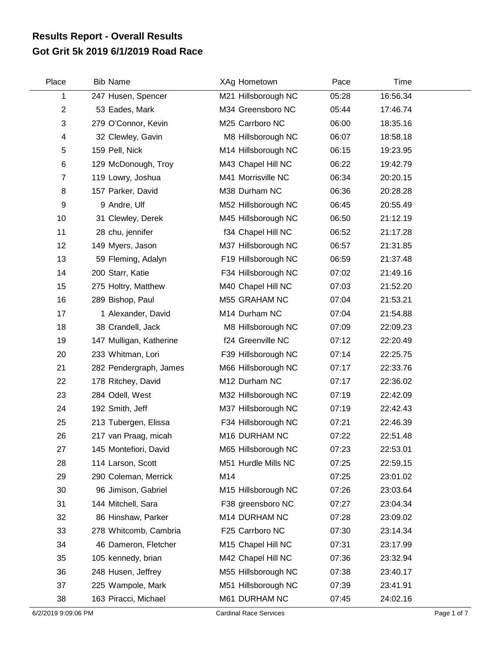## **Got Grit 5k 2019 6/1/2019 Road Race Results Report - Overall Results**

| Place          | <b>Bib Name</b>         | XAg Hometown        | Pace  | Time     |  |
|----------------|-------------------------|---------------------|-------|----------|--|
| 1              | 247 Husen, Spencer      | M21 Hillsborough NC | 05:28 | 16:56.34 |  |
| $\overline{2}$ | 53 Eades, Mark          | M34 Greensboro NC   | 05:44 | 17:46.74 |  |
| 3              | 279 O'Connor, Kevin     | M25 Carrboro NC     | 06:00 | 18:35.16 |  |
| 4              | 32 Clewley, Gavin       | M8 Hillsborough NC  | 06:07 | 18:58.18 |  |
| 5              | 159 Pell, Nick          | M14 Hillsborough NC | 06:15 | 19:23.95 |  |
| 6              | 129 McDonough, Troy     | M43 Chapel Hill NC  | 06:22 | 19:42.79 |  |
| $\overline{7}$ | 119 Lowry, Joshua       | M41 Morrisville NC  | 06:34 | 20:20.15 |  |
| 8              | 157 Parker, David       | M38 Durham NC       | 06:36 | 20:28.28 |  |
| 9              | 9 Andre, Ulf            | M52 Hillsborough NC | 06:45 | 20:55.49 |  |
| 10             | 31 Clewley, Derek       | M45 Hillsborough NC | 06:50 | 21:12.19 |  |
| 11             | 28 chu, jennifer        | f34 Chapel Hill NC  | 06:52 | 21:17.28 |  |
| 12             | 149 Myers, Jason        | M37 Hillsborough NC | 06:57 | 21:31.85 |  |
| 13             | 59 Fleming, Adalyn      | F19 Hillsborough NC | 06:59 | 21:37.48 |  |
| 14             | 200 Starr, Katie        | F34 Hillsborough NC | 07:02 | 21:49.16 |  |
| 15             | 275 Holtry, Matthew     | M40 Chapel Hill NC  | 07:03 | 21:52.20 |  |
| 16             | 289 Bishop, Paul        | M55 GRAHAM NC       | 07:04 | 21:53.21 |  |
| 17             | 1 Alexander, David      | M14 Durham NC       | 07:04 | 21:54.88 |  |
| 18             | 38 Crandell, Jack       | M8 Hillsborough NC  | 07:09 | 22:09.23 |  |
| 19             | 147 Mulligan, Katherine | f24 Greenville NC   | 07:12 | 22:20.49 |  |
| 20             | 233 Whitman, Lori       | F39 Hillsborough NC | 07:14 | 22:25.75 |  |
| 21             | 282 Pendergraph, James  | M66 Hillsborough NC | 07:17 | 22:33.76 |  |
| 22             | 178 Ritchey, David      | M12 Durham NC       | 07:17 | 22:36.02 |  |
| 23             | 284 Odell, West         | M32 Hillsborough NC | 07:19 | 22:42.09 |  |
| 24             | 192 Smith, Jeff         | M37 Hillsborough NC | 07:19 | 22:42.43 |  |
| 25             | 213 Tubergen, Elissa    | F34 Hillsborough NC | 07:21 | 22:46.39 |  |
| 26             | 217 van Praag, micah    | M16 DURHAM NC       | 07:22 | 22:51.48 |  |
| 27             | 145 Montefiori, David   | M65 Hillsborough NC | 07:23 | 22:53.01 |  |
| 28             | 114 Larson, Scott       | M51 Hurdle Mills NC | 07:25 | 22:59.15 |  |
| 29             | 290 Coleman, Merrick    | M14                 | 07:25 | 23:01.02 |  |
| 30             | 96 Jimison, Gabriel     | M15 Hillsborough NC | 07:26 | 23:03.64 |  |
| 31             | 144 Mitchell, Sara      | F38 greensboro NC   | 07:27 | 23:04.34 |  |
| 32             | 86 Hinshaw, Parker      | M14 DURHAM NC       | 07:28 | 23:09.02 |  |
| 33             | 278 Whitcomb, Cambria   | F25 Carrboro NC     | 07:30 | 23:14.34 |  |
| 34             | 46 Dameron, Fletcher    | M15 Chapel Hill NC  | 07:31 | 23:17.99 |  |
| 35             | 105 kennedy, brian      | M42 Chapel Hill NC  | 07:36 | 23:32.94 |  |
| 36             | 248 Husen, Jeffrey      | M55 Hillsborough NC | 07:38 | 23:40.17 |  |
| 37             | 225 Wampole, Mark       | M51 Hillsborough NC | 07:39 | 23:41.91 |  |
| 38             | 163 Piracci, Michael    | M61 DURHAM NC       | 07:45 | 24:02.16 |  |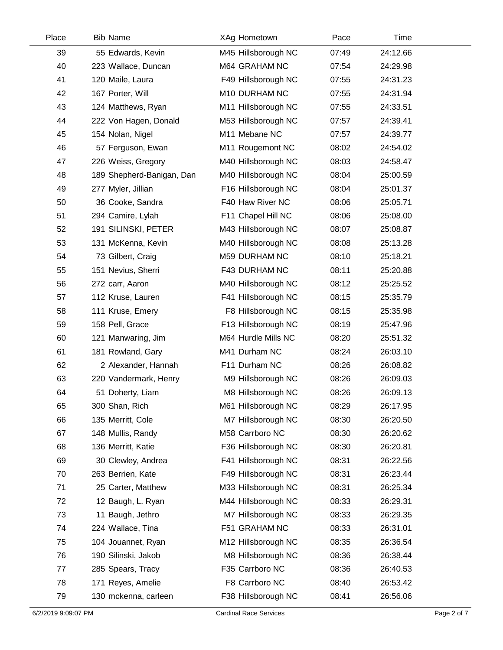| Place | <b>Bib Name</b>           | XAg Hometown        | Pace  | Time     |  |
|-------|---------------------------|---------------------|-------|----------|--|
| 39    | 55 Edwards, Kevin         | M45 Hillsborough NC | 07:49 | 24:12.66 |  |
| 40    | 223 Wallace, Duncan       | M64 GRAHAM NC       | 07:54 | 24:29.98 |  |
| 41    | 120 Maile, Laura          | F49 Hillsborough NC | 07:55 | 24:31.23 |  |
| 42    | 167 Porter, Will          | M10 DURHAM NC       | 07:55 | 24:31.94 |  |
| 43    | 124 Matthews, Ryan        | M11 Hillsborough NC | 07:55 | 24:33.51 |  |
| 44    | 222 Von Hagen, Donald     | M53 Hillsborough NC | 07:57 | 24:39.41 |  |
| 45    | 154 Nolan, Nigel          | M11 Mebane NC       | 07:57 | 24:39.77 |  |
| 46    | 57 Ferguson, Ewan         | M11 Rougemont NC    | 08:02 | 24:54.02 |  |
| 47    | 226 Weiss, Gregory        | M40 Hillsborough NC | 08:03 | 24:58.47 |  |
| 48    | 189 Shepherd-Banigan, Dan | M40 Hillsborough NC | 08:04 | 25:00.59 |  |
| 49    | 277 Myler, Jillian        | F16 Hillsborough NC | 08:04 | 25:01.37 |  |
| 50    | 36 Cooke, Sandra          | F40 Haw River NC    | 08:06 | 25:05.71 |  |
| 51    | 294 Camire, Lylah         | F11 Chapel Hill NC  | 08:06 | 25:08.00 |  |
| 52    | 191 SILINSKI, PETER       | M43 Hillsborough NC | 08:07 | 25:08.87 |  |
| 53    | 131 McKenna, Kevin        | M40 Hillsborough NC | 08:08 | 25:13.28 |  |
| 54    | 73 Gilbert, Craig         | M59 DURHAM NC       | 08:10 | 25:18.21 |  |
| 55    | 151 Nevius, Sherri        | F43 DURHAM NC       | 08:11 | 25:20.88 |  |
| 56    | 272 carr, Aaron           | M40 Hillsborough NC | 08:12 | 25:25.52 |  |
| 57    | 112 Kruse, Lauren         | F41 Hillsborough NC | 08:15 | 25:35.79 |  |
| 58    | 111 Kruse, Emery          | F8 Hillsborough NC  | 08:15 | 25:35.98 |  |
| 59    | 158 Pell, Grace           | F13 Hillsborough NC | 08:19 | 25:47.96 |  |
| 60    | 121 Manwaring, Jim        | M64 Hurdle Mills NC | 08:20 | 25:51.32 |  |
| 61    | 181 Rowland, Gary         | M41 Durham NC       | 08:24 | 26:03.10 |  |
| 62    | 2 Alexander, Hannah       | F11 Durham NC       | 08:26 | 26:08.82 |  |
| 63    | 220 Vandermark, Henry     | M9 Hillsborough NC  | 08:26 | 26:09.03 |  |
| 64    | 51 Doherty, Liam          | M8 Hillsborough NC  | 08:26 | 26:09.13 |  |
| 65    | 300 Shan, Rich            | M61 Hillsborough NC | 08:29 | 26:17.95 |  |
| 66    | 135 Merritt, Cole         | M7 Hillsborough NC  | 08:30 | 26:20.50 |  |
| 67    | 148 Mullis, Randy         | M58 Carrboro NC     | 08:30 | 26:20.62 |  |
| 68    | 136 Merritt, Katie        | F36 Hillsborough NC | 08:30 | 26:20.81 |  |
| 69    | 30 Clewley, Andrea        | F41 Hillsborough NC | 08:31 | 26:22.56 |  |
| 70    | 263 Berrien, Kate         | F49 Hillsborough NC | 08:31 | 26:23.44 |  |
| 71    | 25 Carter, Matthew        | M33 Hillsborough NC | 08:31 | 26:25.34 |  |
| 72    | 12 Baugh, L. Ryan         | M44 Hillsborough NC | 08:33 | 26:29.31 |  |
| 73    | 11 Baugh, Jethro          | M7 Hillsborough NC  | 08:33 | 26:29.35 |  |
| 74    | 224 Wallace, Tina         | F51 GRAHAM NC       | 08:33 | 26:31.01 |  |
| 75    | 104 Jouannet, Ryan        | M12 Hillsborough NC | 08:35 | 26:36.54 |  |
| 76    | 190 Silinski, Jakob       | M8 Hillsborough NC  | 08:36 | 26:38.44 |  |
| 77    | 285 Spears, Tracy         | F35 Carrboro NC     | 08:36 | 26:40.53 |  |
| 78    | 171 Reyes, Amelie         | F8 Carrboro NC      | 08:40 | 26:53.42 |  |
| 79    | 130 mckenna, carleen      | F38 Hillsborough NC | 08:41 | 26:56.06 |  |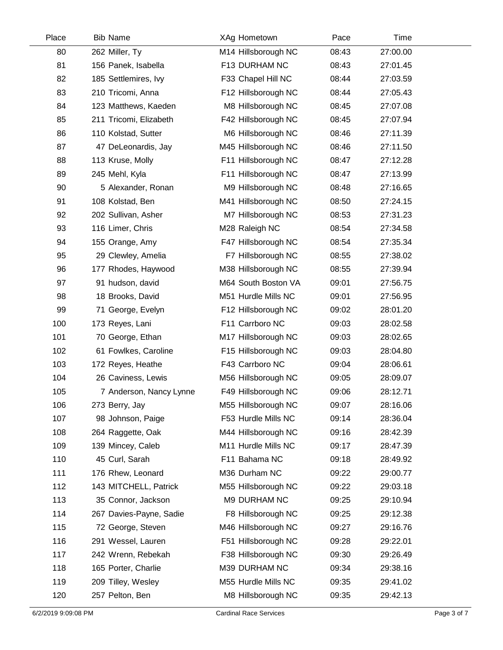| Place | <b>Bib Name</b>         | XAg Hometown        | Pace  | Time     |  |
|-------|-------------------------|---------------------|-------|----------|--|
| 80    | 262 Miller, Ty          | M14 Hillsborough NC | 08:43 | 27:00.00 |  |
| 81    | 156 Panek, Isabella     | F13 DURHAM NC       | 08:43 | 27:01.45 |  |
| 82    | 185 Settlemires, Ivy    | F33 Chapel Hill NC  | 08:44 | 27:03.59 |  |
| 83    | 210 Tricomi, Anna       | F12 Hillsborough NC | 08:44 | 27:05.43 |  |
| 84    | 123 Matthews, Kaeden    | M8 Hillsborough NC  | 08:45 | 27:07.08 |  |
| 85    | 211 Tricomi, Elizabeth  | F42 Hillsborough NC | 08:45 | 27:07.94 |  |
| 86    | 110 Kolstad, Sutter     | M6 Hillsborough NC  | 08:46 | 27:11.39 |  |
| 87    | 47 DeLeonardis, Jay     | M45 Hillsborough NC | 08:46 | 27:11.50 |  |
| 88    | 113 Kruse, Molly        | F11 Hillsborough NC | 08:47 | 27:12.28 |  |
| 89    | 245 Mehl, Kyla          | F11 Hillsborough NC | 08:47 | 27:13.99 |  |
| 90    | 5 Alexander, Ronan      | M9 Hillsborough NC  | 08:48 | 27:16.65 |  |
| 91    | 108 Kolstad, Ben        | M41 Hillsborough NC | 08:50 | 27:24.15 |  |
| 92    | 202 Sullivan, Asher     | M7 Hillsborough NC  | 08:53 | 27:31.23 |  |
| 93    | 116 Limer, Chris        | M28 Raleigh NC      | 08:54 | 27:34.58 |  |
| 94    | 155 Orange, Amy         | F47 Hillsborough NC | 08:54 | 27:35.34 |  |
| 95    | 29 Clewley, Amelia      | F7 Hillsborough NC  | 08:55 | 27:38.02 |  |
| 96    | 177 Rhodes, Haywood     | M38 Hillsborough NC | 08:55 | 27:39.94 |  |
| 97    | 91 hudson, david        | M64 South Boston VA | 09:01 | 27:56.75 |  |
| 98    | 18 Brooks, David        | M51 Hurdle Mills NC | 09:01 | 27:56.95 |  |
| 99    | 71 George, Evelyn       | F12 Hillsborough NC | 09:02 | 28:01.20 |  |
| 100   | 173 Reyes, Lani         | F11 Carrboro NC     | 09:03 | 28:02.58 |  |
| 101   | 70 George, Ethan        | M17 Hillsborough NC | 09:03 | 28:02.65 |  |
| 102   | 61 Fowlkes, Caroline    | F15 Hillsborough NC | 09:03 | 28:04.80 |  |
| 103   | 172 Reyes, Heathe       | F43 Carrboro NC     | 09:04 | 28:06.61 |  |
| 104   | 26 Caviness, Lewis      | M56 Hillsborough NC | 09:05 | 28:09.07 |  |
| 105   | 7 Anderson, Nancy Lynne | F49 Hillsborough NC | 09:06 | 28:12.71 |  |
| 106   | 273 Berry, Jay          | M55 Hillsborough NC | 09:07 | 28:16.06 |  |
| 107   | 98 Johnson, Paige       | F53 Hurdle Mills NC | 09:14 | 28:36.04 |  |
| 108   | 264 Raggette, Oak       | M44 Hillsborough NC | 09:16 | 28:42.39 |  |
| 109   | 139 Mincey, Caleb       | M11 Hurdle Mills NC | 09:17 | 28:47.39 |  |
| 110   | 45 Curl, Sarah          | F11 Bahama NC       | 09:18 | 28:49.92 |  |
| 111   | 176 Rhew, Leonard       | M36 Durham NC       | 09:22 | 29:00.77 |  |
| 112   | 143 MITCHELL, Patrick   | M55 Hillsborough NC | 09:22 | 29:03.18 |  |
| 113   | 35 Connor, Jackson      | M9 DURHAM NC        | 09:25 | 29:10.94 |  |
| 114   | 267 Davies-Payne, Sadie | F8 Hillsborough NC  | 09:25 | 29:12.38 |  |
| 115   | 72 George, Steven       | M46 Hillsborough NC | 09:27 | 29:16.76 |  |
| 116   | 291 Wessel, Lauren      | F51 Hillsborough NC | 09:28 | 29:22.01 |  |
| 117   | 242 Wrenn, Rebekah      | F38 Hillsborough NC | 09:30 | 29:26.49 |  |
| 118   | 165 Porter, Charlie     | M39 DURHAM NC       | 09:34 | 29:38.16 |  |
| 119   | 209 Tilley, Wesley      | M55 Hurdle Mills NC | 09:35 | 29:41.02 |  |
| 120   | 257 Pelton, Ben         | M8 Hillsborough NC  | 09:35 | 29:42.13 |  |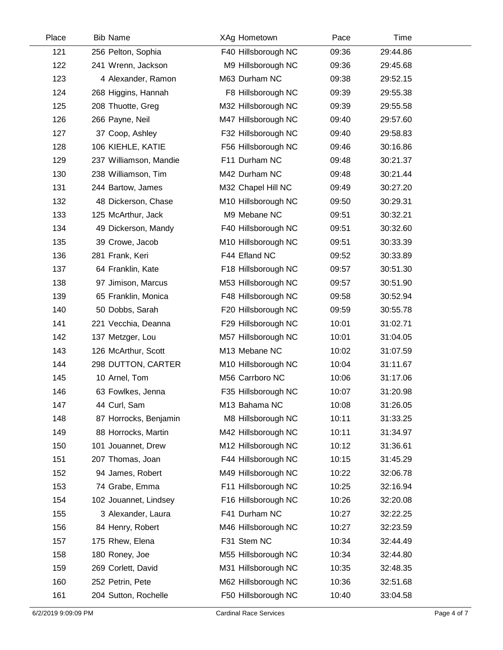| Place | <b>Bib Name</b>        | XAg Hometown        | Pace  | Time     |  |
|-------|------------------------|---------------------|-------|----------|--|
| 121   | 256 Pelton, Sophia     | F40 Hillsborough NC | 09:36 | 29:44.86 |  |
| 122   | 241 Wrenn, Jackson     | M9 Hillsborough NC  | 09:36 | 29:45.68 |  |
| 123   | 4 Alexander, Ramon     | M63 Durham NC       | 09:38 | 29:52.15 |  |
| 124   | 268 Higgins, Hannah    | F8 Hillsborough NC  | 09:39 | 29:55.38 |  |
| 125   | 208 Thuotte, Greg      | M32 Hillsborough NC | 09:39 | 29:55.58 |  |
| 126   | 266 Payne, Neil        | M47 Hillsborough NC | 09:40 | 29:57.60 |  |
| 127   | 37 Coop, Ashley        | F32 Hillsborough NC | 09:40 | 29:58.83 |  |
| 128   | 106 KIEHLE, KATIE      | F56 Hillsborough NC | 09:46 | 30:16.86 |  |
| 129   | 237 Williamson, Mandie | F11 Durham NC       | 09:48 | 30:21.37 |  |
| 130   | 238 Williamson, Tim    | M42 Durham NC       | 09:48 | 30:21.44 |  |
| 131   | 244 Bartow, James      | M32 Chapel Hill NC  | 09:49 | 30:27.20 |  |
| 132   | 48 Dickerson, Chase    | M10 Hillsborough NC | 09:50 | 30:29.31 |  |
| 133   | 125 McArthur, Jack     | M9 Mebane NC        | 09:51 | 30:32.21 |  |
| 134   | 49 Dickerson, Mandy    | F40 Hillsborough NC | 09:51 | 30:32.60 |  |
| 135   | 39 Crowe, Jacob        | M10 Hillsborough NC | 09:51 | 30:33.39 |  |
| 136   | 281 Frank, Keri        | F44 Efland NC       | 09:52 | 30:33.89 |  |
| 137   | 64 Franklin, Kate      | F18 Hillsborough NC | 09:57 | 30:51.30 |  |
| 138   | 97 Jimison, Marcus     | M53 Hillsborough NC | 09:57 | 30:51.90 |  |
| 139   | 65 Franklin, Monica    | F48 Hillsborough NC | 09:58 | 30:52.94 |  |
| 140   | 50 Dobbs, Sarah        | F20 Hillsborough NC | 09:59 | 30:55.78 |  |
| 141   | 221 Vecchia, Deanna    | F29 Hillsborough NC | 10:01 | 31:02.71 |  |
| 142   | 137 Metzger, Lou       | M57 Hillsborough NC | 10:01 | 31:04.05 |  |
| 143   | 126 McArthur, Scott    | M13 Mebane NC       | 10:02 | 31:07.59 |  |
| 144   | 298 DUTTON, CARTER     | M10 Hillsborough NC | 10:04 | 31:11.67 |  |
| 145   | 10 Arnel, Tom          | M56 Carrboro NC     | 10:06 | 31:17.06 |  |
| 146   | 63 Fowlkes, Jenna      | F35 Hillsborough NC | 10:07 | 31:20.98 |  |
| 147   | 44 Curl, Sam           | M13 Bahama NC       | 10:08 | 31:26.05 |  |
| 148   | 87 Horrocks, Benjamin  | M8 Hillsborough NC  | 10:11 | 31:33.25 |  |
| 149   | 88 Horrocks, Martin    | M42 Hillsborough NC | 10:11 | 31:34.97 |  |
| 150   | 101 Jouannet, Drew     | M12 Hillsborough NC | 10:12 | 31:36.61 |  |
| 151   | 207 Thomas, Joan       | F44 Hillsborough NC | 10:15 | 31:45.29 |  |
| 152   | 94 James, Robert       | M49 Hillsborough NC | 10:22 | 32:06.78 |  |
| 153   | 74 Grabe, Emma         | F11 Hillsborough NC | 10:25 | 32:16.94 |  |
| 154   | 102 Jouannet, Lindsey  | F16 Hillsborough NC | 10:26 | 32:20.08 |  |
| 155   | 3 Alexander, Laura     | F41 Durham NC       | 10:27 | 32:22.25 |  |
| 156   | 84 Henry, Robert       | M46 Hillsborough NC | 10:27 | 32:23.59 |  |
| 157   | 175 Rhew, Elena        | F31 Stem NC         | 10:34 | 32:44.49 |  |
| 158   | 180 Roney, Joe         | M55 Hillsborough NC | 10:34 | 32:44.80 |  |
| 159   | 269 Corlett, David     | M31 Hillsborough NC | 10:35 | 32:48.35 |  |
| 160   | 252 Petrin, Pete       | M62 Hillsborough NC | 10:36 | 32:51.68 |  |
| 161   | 204 Sutton, Rochelle   | F50 Hillsborough NC | 10:40 | 33:04.58 |  |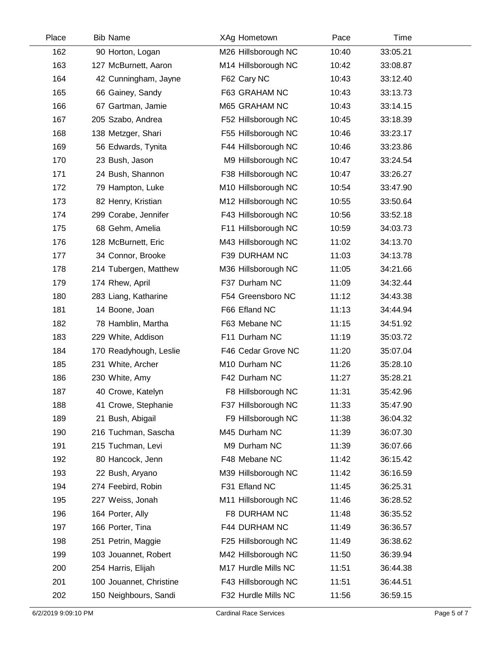| Place | <b>Bib Name</b>         | XAg Hometown        | Pace  | Time     |  |
|-------|-------------------------|---------------------|-------|----------|--|
| 162   | 90 Horton, Logan        | M26 Hillsborough NC | 10:40 | 33:05.21 |  |
| 163   | 127 McBurnett, Aaron    | M14 Hillsborough NC | 10:42 | 33:08.87 |  |
| 164   | 42 Cunningham, Jayne    | F62 Cary NC         | 10:43 | 33:12.40 |  |
| 165   | 66 Gainey, Sandy        | F63 GRAHAM NC       | 10:43 | 33:13.73 |  |
| 166   | 67 Gartman, Jamie       | M65 GRAHAM NC       | 10:43 | 33:14.15 |  |
| 167   | 205 Szabo, Andrea       | F52 Hillsborough NC | 10:45 | 33:18.39 |  |
| 168   | 138 Metzger, Shari      | F55 Hillsborough NC | 10:46 | 33:23.17 |  |
| 169   | 56 Edwards, Tynita      | F44 Hillsborough NC | 10:46 | 33:23.86 |  |
| 170   | 23 Bush, Jason          | M9 Hillsborough NC  | 10:47 | 33:24.54 |  |
| 171   | 24 Bush, Shannon        | F38 Hillsborough NC | 10:47 | 33:26.27 |  |
| 172   | 79 Hampton, Luke        | M10 Hillsborough NC | 10:54 | 33:47.90 |  |
| 173   | 82 Henry, Kristian      | M12 Hillsborough NC | 10:55 | 33:50.64 |  |
| 174   | 299 Corabe, Jennifer    | F43 Hillsborough NC | 10:56 | 33:52.18 |  |
| 175   | 68 Gehm, Amelia         | F11 Hillsborough NC | 10:59 | 34:03.73 |  |
| 176   | 128 McBurnett, Eric     | M43 Hillsborough NC | 11:02 | 34:13.70 |  |
| 177   | 34 Connor, Brooke       | F39 DURHAM NC       | 11:03 | 34:13.78 |  |
| 178   | 214 Tubergen, Matthew   | M36 Hillsborough NC | 11:05 | 34:21.66 |  |
| 179   | 174 Rhew, April         | F37 Durham NC       | 11:09 | 34:32.44 |  |
| 180   | 283 Liang, Katharine    | F54 Greensboro NC   | 11:12 | 34:43.38 |  |
| 181   | 14 Boone, Joan          | F66 Efland NC       | 11:13 | 34:44.94 |  |
| 182   | 78 Hamblin, Martha      | F63 Mebane NC       | 11:15 | 34:51.92 |  |
| 183   | 229 White, Addison      | F11 Durham NC       | 11:19 | 35:03.72 |  |
| 184   | 170 Readyhough, Leslie  | F46 Cedar Grove NC  | 11:20 | 35:07.04 |  |
| 185   | 231 White, Archer       | M10 Durham NC       | 11:26 | 35:28.10 |  |
| 186   | 230 White, Amy          | F42 Durham NC       | 11:27 | 35:28.21 |  |
| 187   | 40 Crowe, Katelyn       | F8 Hillsborough NC  | 11:31 | 35:42.96 |  |
| 188   | 41 Crowe, Stephanie     | F37 Hillsborough NC | 11:33 | 35:47.90 |  |
| 189   | 21 Bush, Abigail        | F9 Hillsborough NC  | 11:38 | 36:04.32 |  |
| 190   | 216 Tuchman, Sascha     | M45 Durham NC       | 11:39 | 36:07.30 |  |
| 191   | 215 Tuchman, Levi       | M9 Durham NC        | 11:39 | 36:07.66 |  |
| 192   | 80 Hancock, Jenn        | F48 Mebane NC       | 11:42 | 36:15.42 |  |
| 193   | 22 Bush, Aryano         | M39 Hillsborough NC | 11:42 | 36:16.59 |  |
| 194   | 274 Feebird, Robin      | F31 Efland NC       | 11:45 | 36:25.31 |  |
| 195   | 227 Weiss, Jonah        | M11 Hillsborough NC | 11:46 | 36:28.52 |  |
| 196   | 164 Porter, Ally        | F8 DURHAM NC        | 11:48 | 36:35.52 |  |
| 197   | 166 Porter, Tina        | F44 DURHAM NC       | 11:49 | 36:36.57 |  |
| 198   | 251 Petrin, Maggie      | F25 Hillsborough NC | 11:49 | 36:38.62 |  |
| 199   | 103 Jouannet, Robert    | M42 Hillsborough NC | 11:50 | 36:39.94 |  |
| 200   | 254 Harris, Elijah      | M17 Hurdle Mills NC | 11:51 | 36:44.38 |  |
| 201   | 100 Jouannet, Christine | F43 Hillsborough NC | 11:51 | 36:44.51 |  |
| 202   | 150 Neighbours, Sandi   | F32 Hurdle Mills NC | 11:56 | 36:59.15 |  |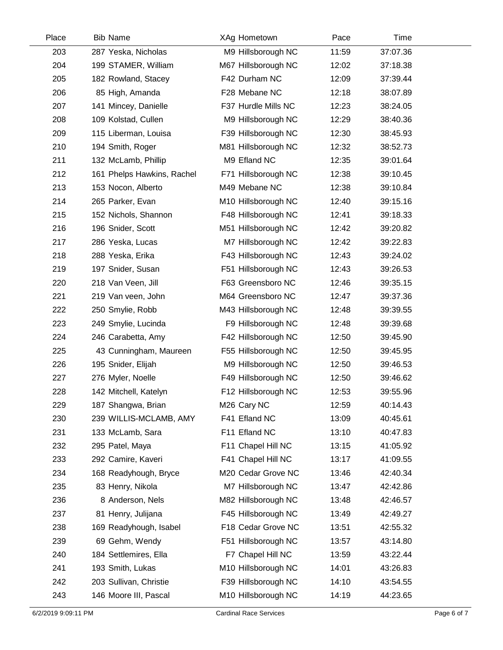| Place | <b>Bib Name</b>            | XAg Hometown            | Pace  | Time     |  |
|-------|----------------------------|-------------------------|-------|----------|--|
| 203   | 287 Yeska, Nicholas        | M9 Hillsborough NC      | 11:59 | 37:07.36 |  |
| 204   | 199 STAMER, William        | M67 Hillsborough NC     | 12:02 | 37:18.38 |  |
| 205   | 182 Rowland, Stacey        | F42 Durham NC           | 12:09 | 37:39.44 |  |
| 206   | 85 High, Amanda            | F28 Mebane NC           | 12:18 | 38:07.89 |  |
| 207   | 141 Mincey, Danielle       | F37 Hurdle Mills NC     | 12:23 | 38:24.05 |  |
| 208   | 109 Kolstad, Cullen        | M9 Hillsborough NC      | 12:29 | 38:40.36 |  |
| 209   | 115 Liberman, Louisa       | F39 Hillsborough NC     | 12:30 | 38:45.93 |  |
| 210   | 194 Smith, Roger           | M81 Hillsborough NC     | 12:32 | 38:52.73 |  |
| 211   | 132 McLamb, Phillip        | M9 Efland NC            | 12:35 | 39:01.64 |  |
| 212   | 161 Phelps Hawkins, Rachel | F71 Hillsborough NC     | 12:38 | 39:10.45 |  |
| 213   | 153 Nocon, Alberto         | M49 Mebane NC           | 12:38 | 39:10.84 |  |
| 214   | 265 Parker, Evan           | M10 Hillsborough NC     | 12:40 | 39:15.16 |  |
| 215   | 152 Nichols, Shannon       | F48 Hillsborough NC     | 12:41 | 39:18.33 |  |
| 216   | 196 Snider, Scott          | M51 Hillsborough NC     | 12:42 | 39:20.82 |  |
| 217   | 286 Yeska, Lucas           | M7 Hillsborough NC      | 12:42 | 39:22.83 |  |
| 218   | 288 Yeska, Erika           | F43 Hillsborough NC     | 12:43 | 39:24.02 |  |
| 219   | 197 Snider, Susan          | F51 Hillsborough NC     | 12:43 | 39:26.53 |  |
| 220   | 218 Van Veen, Jill         | F63 Greensboro NC       | 12:46 | 39:35.15 |  |
| 221   | 219 Van veen, John         | M64 Greensboro NC       | 12:47 | 39:37.36 |  |
| 222   | 250 Smylie, Robb           | M43 Hillsborough NC     | 12:48 | 39:39.55 |  |
| 223   | 249 Smylie, Lucinda        | F9 Hillsborough NC      | 12:48 | 39:39.68 |  |
| 224   | 246 Carabetta, Amy         | F42 Hillsborough NC     | 12:50 | 39:45.90 |  |
| 225   | 43 Cunningham, Maureen     | F55 Hillsborough NC     | 12:50 | 39:45.95 |  |
| 226   | 195 Snider, Elijah         | M9 Hillsborough NC      | 12:50 | 39:46.53 |  |
| 227   | 276 Myler, Noelle          | F49 Hillsborough NC     | 12:50 | 39:46.62 |  |
| 228   | 142 Mitchell, Katelyn      | F12 Hillsborough NC     | 12:53 | 39:55.96 |  |
| 229   | 187 Shangwa, Brian         | M <sub>26</sub> Cary NC | 12:59 | 40:14.43 |  |
| 230   | 239 WILLIS-MCLAMB, AMY     | F41 Efland NC           | 13:09 | 40:45.61 |  |
| 231   | 133 McLamb, Sara           | F11 Efland NC           | 13:10 | 40:47.83 |  |
| 232   | 295 Patel, Maya            | F11 Chapel Hill NC      | 13:15 | 41:05.92 |  |
| 233   | 292 Camire, Kaveri         | F41 Chapel Hill NC      | 13:17 | 41:09.55 |  |
| 234   | 168 Readyhough, Bryce      | M20 Cedar Grove NC      | 13:46 | 42:40.34 |  |
| 235   | 83 Henry, Nikola           | M7 Hillsborough NC      | 13:47 | 42:42.86 |  |
| 236   | 8 Anderson, Nels           | M82 Hillsborough NC     | 13:48 | 42:46.57 |  |
| 237   | 81 Henry, Julijana         | F45 Hillsborough NC     | 13:49 | 42:49.27 |  |
| 238   | 169 Readyhough, Isabel     | F18 Cedar Grove NC      | 13:51 | 42:55.32 |  |
| 239   | 69 Gehm, Wendy             | F51 Hillsborough NC     | 13:57 | 43:14.80 |  |
| 240   | 184 Settlemires, Ella      | F7 Chapel Hill NC       | 13:59 | 43:22.44 |  |
| 241   | 193 Smith, Lukas           | M10 Hillsborough NC     | 14:01 | 43:26.83 |  |
| 242   | 203 Sullivan, Christie     | F39 Hillsborough NC     | 14:10 | 43:54.55 |  |
| 243   | 146 Moore III, Pascal      | M10 Hillsborough NC     | 14:19 | 44:23.65 |  |